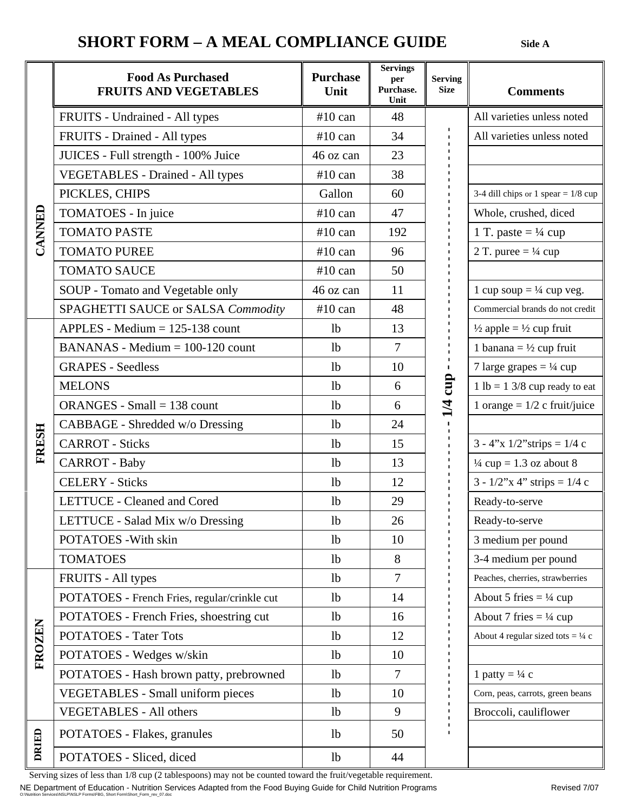## **SHORT FORM – A MEAL COMPLIANCE GUIDE** Side A

|              | <b>Food As Purchased</b><br><b>FRUITS AND VEGETABLES</b> | <b>Purchase</b><br>Unit | <b>Servings</b><br>per<br>Purchase.<br>Unit | <b>Serving</b><br><b>Size</b> | <b>Comments</b>                               |
|--------------|----------------------------------------------------------|-------------------------|---------------------------------------------|-------------------------------|-----------------------------------------------|
| CANNED       | FRUITS - Undrained - All types                           | $#10$ can               | 48                                          | cup<br>$\frac{4}{1}$          | All varieties unless noted                    |
|              | FRUITS - Drained - All types                             | $#10$ can               | 34                                          |                               | All varieties unless noted                    |
|              | JUICES - Full strength - 100% Juice                      | 46 oz can               | 23                                          |                               |                                               |
|              | <b>VEGETABLES</b> - Drained - All types                  | $#10$ can               | 38                                          |                               |                                               |
|              | PICKLES, CHIPS                                           | Gallon                  | 60                                          |                               | 3-4 dill chips or 1 spear = $1/8$ cup         |
|              | TOMATOES - In juice                                      | $#10$ can               | 47                                          |                               | Whole, crushed, diced                         |
|              | <b>TOMATO PASTE</b>                                      | $#10$ can               | 192                                         |                               | 1 T. paste = $\frac{1}{4}$ cup                |
|              | <b>TOMATO PUREE</b>                                      | $#10$ can               | 96                                          |                               | 2 T. puree = $\frac{1}{4}$ cup                |
|              | <b>TOMATO SAUCE</b>                                      | $#10$ can               | 50                                          |                               |                                               |
|              | SOUP - Tomato and Vegetable only                         | 46 oz can               | 11                                          |                               | 1 cup soup = $\frac{1}{4}$ cup veg.           |
|              | SPAGHETTI SAUCE or SALSA Commodity                       | $#10$ can               | 48                                          |                               | Commercial brands do not credit               |
|              | $APPLES - Medium = 125-138$ count                        | 1 <sub>b</sub>          | 13                                          |                               | $\frac{1}{2}$ apple = $\frac{1}{2}$ cup fruit |
| <b>FRESH</b> | $BANANAS - Medium = 100-120$ count                       | 1 <sub>b</sub>          | $\overline{7}$                              |                               | 1 banana = $\frac{1}{2}$ cup fruit            |
|              | <b>GRAPES - Seedless</b>                                 | 1 <sub>b</sub>          | 10                                          |                               | 7 large grapes $= \frac{1}{4}$ cup            |
|              | <b>MELONS</b>                                            | 1 <sub>b</sub>          | 6                                           |                               | $1 lb = 13/8 cup ready to eat$                |
|              | ORANGES - Small $= 138$ count                            | 1 <sub>b</sub>          | 6                                           |                               | 1 orange = $1/2$ c fruit/juice                |
|              | CABBAGE - Shredded w/o Dressing                          | 1 <sub>b</sub>          | 24                                          |                               |                                               |
|              | <b>CARROT</b> - Sticks                                   | 1 <sub>b</sub>          | 15                                          |                               | $3 - 4$ "x $1/2$ "strips = $1/4$ c            |
|              | <b>CARROT</b> - Baby                                     | 1 <sub>b</sub>          | 13                                          |                               | $\frac{1}{4}$ cup = 1.3 oz about 8            |
|              | <b>CELERY</b> - Sticks                                   | 1 <sub>b</sub>          | 12                                          |                               | $3 - 1/2$ "x 4" strips = 1/4 c                |
|              | LETTUCE - Cleaned and Cored                              | 1 <sub>b</sub>          | 29                                          |                               | Ready-to-serve                                |
|              | LETTUCE - Salad Mix w/o Dressing                         | 1 <sub>b</sub>          | 26                                          |                               | Ready-to-serve                                |
|              | POTATOES - With skin                                     | 1 <sub>b</sub>          | 10                                          |                               | 3 medium per pound                            |
|              | <b>TOMATOES</b>                                          | 1 <sub>b</sub>          | 8                                           |                               | 3-4 medium per pound                          |
| FROZEN       | FRUITS - All types                                       | 1 <sub>b</sub>          | $\overline{7}$                              |                               | Peaches, cherries, strawberries               |
|              | POTATOES - French Fries, regular/crinkle cut             | 1 <sub>b</sub>          | 14                                          |                               | About 5 fries $= \frac{1}{4}$ cup             |
|              | POTATOES - French Fries, shoestring cut                  | 1 <sub>b</sub>          | 16                                          |                               | About 7 fries $= \frac{1}{4}$ cup             |
|              | <b>POTATOES - Tater Tots</b>                             | 1 <sub>b</sub>          | 12                                          |                               | About 4 regular sized tots = $\frac{1}{4}$ c  |
|              | POTATOES - Wedges w/skin                                 | 1 <sub>b</sub>          | 10                                          |                               |                                               |
|              | POTATOES - Hash brown patty, prebrowned                  | 1 <sub>b</sub>          | $\overline{7}$                              |                               | 1 patty = $\frac{1}{4}$ c                     |
|              | <b>VEGETABLES</b> - Small uniform pieces                 | 1 <sub>b</sub>          | 10                                          |                               | Corn, peas, carrots, green beans              |
|              | <b>VEGETABLES - All others</b>                           | 1 <sub>b</sub>          | 9                                           |                               | Broccoli, cauliflower                         |
| DRIED        | POTATOES - Flakes, granules                              | 1 <sub>b</sub>          | 50                                          |                               |                                               |
|              | POTATOES - Sliced, diced                                 | 1 <sub>b</sub>          | 44                                          |                               |                                               |

Serving sizes of less than 1/8 cup (2 tablespoons) may not be counted toward the fruit/vegetable requirement.

NE Department of Education - Nutrition Services Adapted from the Food Buying Guide for Child Nutrition Programs<br>O:\Nutrition Services\NSLP\NSLP Forms\FBG, Short Form\Short\_Form\_rev\_07.doc